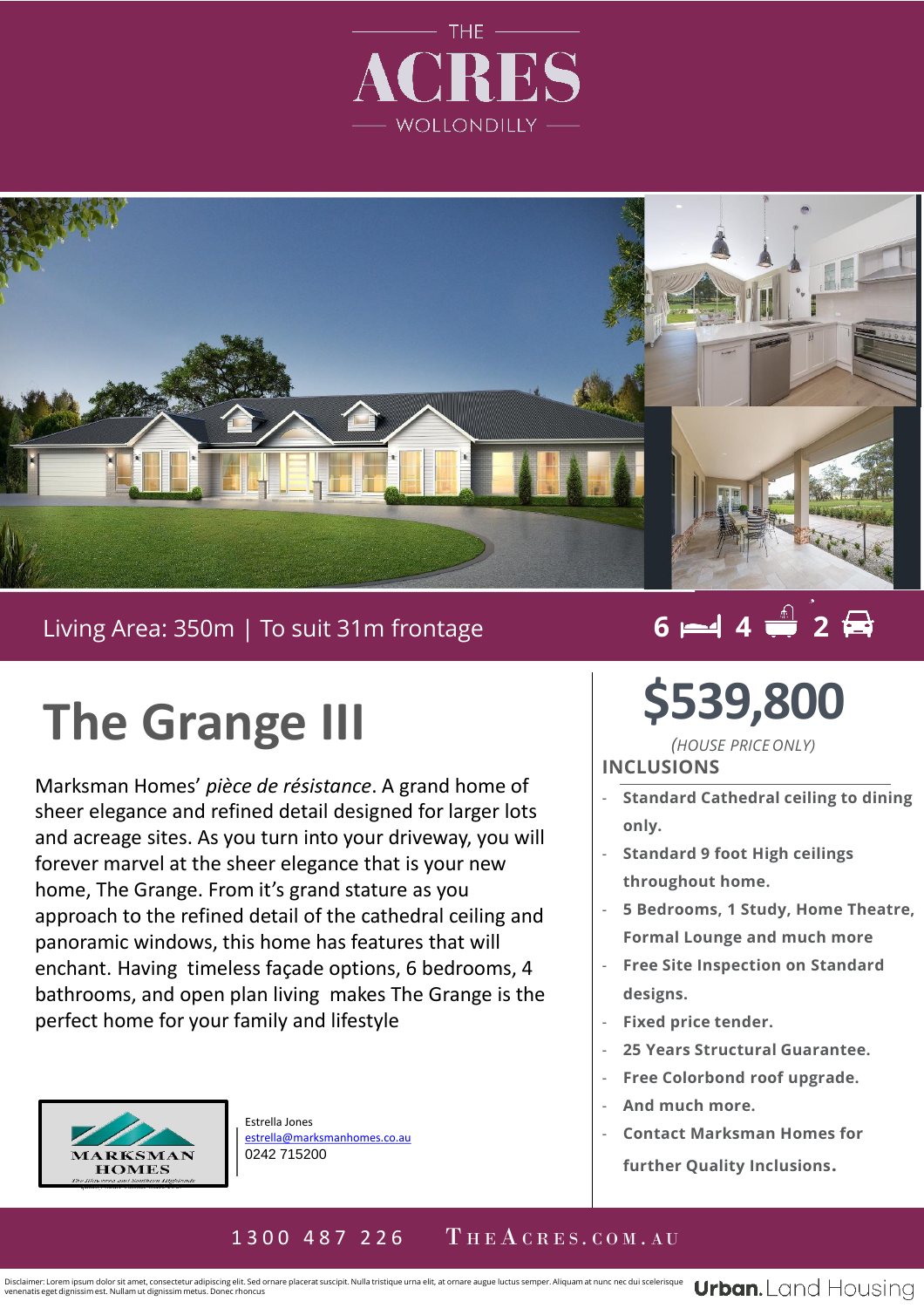



### Living Area: 350m | To suit 31m frontage

# **The Grange III**

Marksman Homes' *pièce de résistance*. A grand home of . sheer elegance and refined detail designed for larger lots and acreage sites. As you turn into your driveway, you will forever marvel at the sheer elegance that is your new home, The Grange. From it's grand stature as you approach to the refined detail of the cathedral ceiling and panoramic windows, this home has features that will enchant. Having timeless façade options, 6 bedrooms, 4 bathrooms, and open plan living makes The Grange is the perfect home for your family and lifestyle



Estrella Jones [estrella@marksmanhomes.co.au](mailto:estrella@marksmanhomes.co.au) 0242 715200

## $6 - 4$   $4 - 2$

**\$539,800**

*(HOUSE PRICE ONLY)* **INCLUSIONS**

- **Standard Cathedral ceiling to dining only.**
- **Standard 9 foot High ceilings throughout home.**
- **5 Bedrooms, 1 Study, Home Theatre, Formal Lounge and much more**
- **Free Site Inspection on Standard designs.**
- **Fixed price tender.**
- **25 Years Structural Guarantee.**
- **Free Colorbond roof upgrade.**
- **And much more.**
- **Contact Marksman Homes for further Quality Inclusions.**

#### 1300 487 226 THEACRES.COM.AU